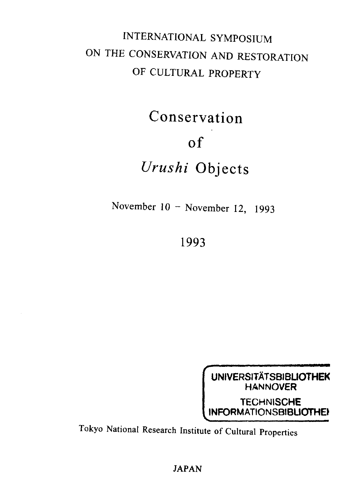## INTERNATIONAL SYMPOSIUM ON THE CONSERVATION AND RESTORATION OF CULTURAL PROPERTY

Conservation

## of

## *Urushi* Objects

November 10 - November 12, 1993

1993



Tokyo National Research Institute of Cultural Properties

JAPAN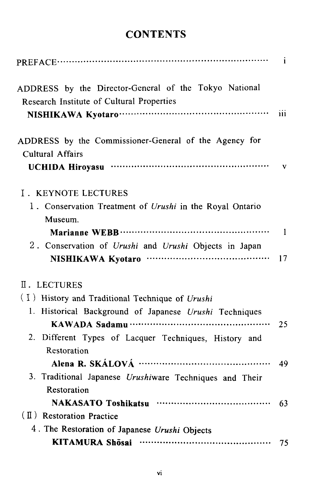## **CONTENTS**

|                                                                                                    | $\mathbf{i}$ |
|----------------------------------------------------------------------------------------------------|--------------|
| ADDRESS by the Director-General of the Tokyo National<br>Research Institute of Cultural Properties |              |
|                                                                                                    | iii          |
| ADDRESS by the Commissioner-General of the Agency for<br><b>Cultural Affairs</b>                   |              |
|                                                                                                    | $\mathbf{v}$ |
| I. KEYNOTE LECTURES                                                                                |              |
| 1. Conservation Treatment of Urushi in the Royal Ontario                                           |              |
| Museum.                                                                                            | $\mathbf{1}$ |
| 2. Conservation of Urushi and Urushi Objects in Japan                                              |              |
|                                                                                                    | 17           |
| II. LECTURES                                                                                       |              |
| (I) History and Traditional Technique of Urushi                                                    |              |
| 1. Historical Background of Japanese Urushi Techniques                                             |              |
|                                                                                                    | 25           |
| 2. Different Types of Lacquer Techniques, History and                                              |              |
| Restoration                                                                                        |              |
|                                                                                                    | 49           |
| 3. Traditional Japanese Urushiware Techniques and Their                                            |              |
| Restoration                                                                                        |              |
|                                                                                                    | 63           |
| (II) Restoration Practice                                                                          |              |
| 4. The Restoration of Japanese Urushi Objects                                                      |              |
|                                                                                                    | 75           |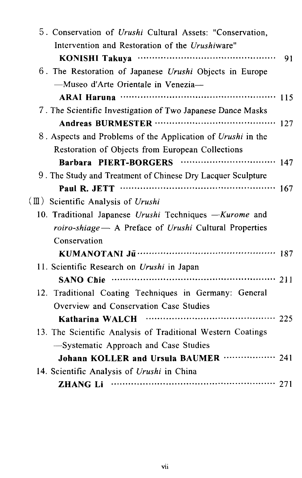| 5. Conservation of Urushi Cultural Assets: "Conservation,   |     |
|-------------------------------------------------------------|-----|
| Intervention and Restoration of the Urushiware"             |     |
|                                                             | 91  |
| 6. The Restoration of Japanese Urushi Objects in Europe     |     |
| -Museo d'Arte Orientale in Venezia-                         |     |
|                                                             |     |
| 7. The Scientific Investigation of Two Japanese Dance Masks |     |
|                                                             | 127 |
| 8. Aspects and Problems of the Application of Urushi in the |     |
| Restoration of Objects from European Collections            |     |
|                                                             | 147 |
| 9. The Study and Treatment of Chinese Dry Lacquer Sculpture |     |
|                                                             |     |
| $(\mathbb{I})$ Scientific Analysis of Urushi                |     |
| 10. Traditional Japanese Urushi Techniques -Kurome and      |     |
| roiro-shiage - A Preface of Urushi Cultural Properties      |     |
| Conservation                                                |     |
|                                                             |     |
| 11. Scientific Research on Urushi in Japan                  |     |
| SANO Chie ………………………………………………… 211                           |     |
| 12. Traditional Coating Techniques in Germany: General      |     |
| Overview and Conservation Case Studies                      |     |
| Katharina WALCH                                             |     |
| 13. The Scientific Analysis of Traditional Western Coatings |     |
| -Systematic Approach and Case Studies                       |     |
| Johann KOLLER and Ursula BAUMER  241                        |     |
| 14. Scientific Analysis of Urushi in China                  |     |
|                                                             |     |